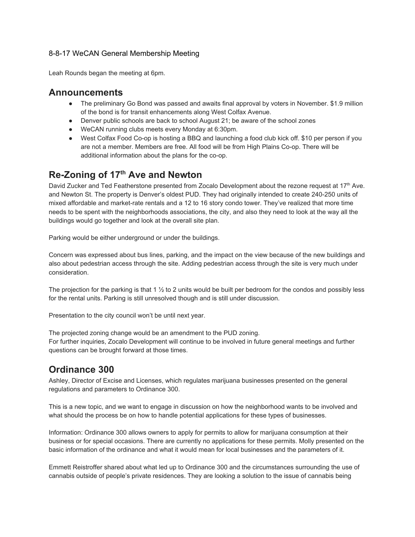## 8-8-17 WeCAN General Membership Meeting

Leah Rounds began the meeting at 6pm.

## **Announcements**

- The preliminary Go Bond was passed and awaits final approval by voters in November. \$1.9 million of the bond is for transit enhancements along West Colfax Avenue.
- Denver public schools are back to school August 21; be aware of the school zones
- WeCAN running clubs meets every Monday at 6:30pm.
- West Colfax Food Co-op is hosting a BBQ and launching a food club kick off. \$10 per person if you are not a member. Members are free. All food will be from High Plains Co-op. There will be additional information about the plans for the co-op.

## **Re-Zoning of 17 th Ave and Newton**

David Zucker and Ted Featherstone presented from Zocalo Development about the rezone request at 17<sup>th</sup> Ave. and Newton St. The property is Denver's oldest PUD. They had originally intended to create 240-250 units of mixed affordable and market-rate rentals and a 12 to 16 story condo tower. They've realized that more time needs to be spent with the neighborhoods associations, the city, and also they need to look at the way all the buildings would go together and look at the overall site plan.

Parking would be either underground or under the buildings.

Concern was expressed about bus lines, parking, and the impact on the view because of the new buildings and also about pedestrian access through the site. Adding pedestrian access through the site is very much under consideration.

The projection for the parking is that 1  $\frac{1}{2}$  to 2 units would be built per bedroom for the condos and possibly less for the rental units. Parking is still unresolved though and is still under discussion.

Presentation to the city council won't be until next year.

The projected zoning change would be an amendment to the PUD zoning. For further inquiries, Zocalo Development will continue to be involved in future general meetings and further questions can be brought forward at those times.

## **Ordinance 300**

Ashley, Director of Excise and Licenses, which regulates marijuana businesses presented on the general regulations and parameters to Ordinance 300.

This is a new topic, and we want to engage in discussion on how the neighborhood wants to be involved and what should the process be on how to handle potential applications for these types of businesses.

Information: Ordinance 300 allows owners to apply for permits to allow for marijuana consumption at their business or for special occasions. There are currently no applications for these permits. Molly presented on the basic information of the ordinance and what it would mean for local businesses and the parameters of it.

Emmett Reistroffer shared about what led up to Ordinance 300 and the circumstances surrounding the use of cannabis outside of people's private residences. They are looking a solution to the issue of cannabis being